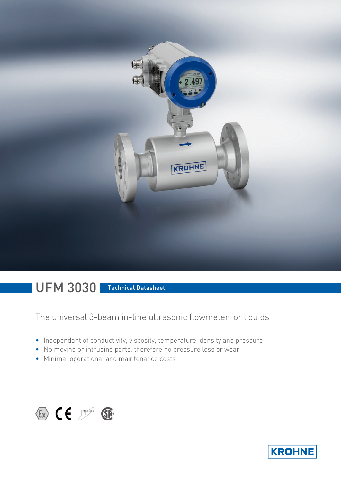

# UFM 3030 Technical Datasheet

The universal 3-beam in-line ultrasonic flowmeter for liquids

- Independant of conductivity, viscosity, temperature, density and pressure
- No moving or intruding parts, therefore no pressure loss or wear
- Minimal operational and maintenance costs



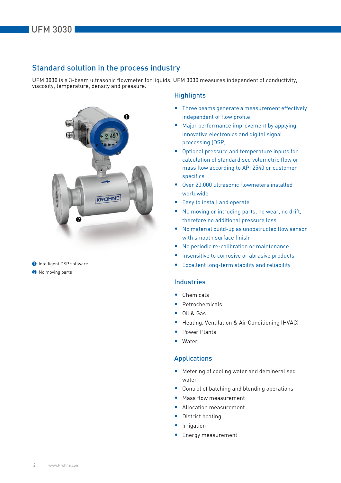# Standard solution in the process industry

UFM 3030 is a 3-beam ultrasonic flowmeter for liquids. UFM 3030 measures independent of conductivity, viscosity, temperature, density and pressure.



**1** Intelligent DSP software

<sup>2</sup> No moving parts

# **Highlights**

- Three beams generate a measurement effectively independent of flow profile
- Major performance improvement by applying innovative electronics and digital signal processing (DSP)
- Optional pressure and temperature inputs for calculation of standardised volumetric flow or mass flow according to API 2540 or customer specifics
- Over 20.000 ultrasonic flowmeters installed worldwide
- Easy to install and operate
- No moving or intruding parts, no wear, no drift, therefore no additional pressure loss
- No material build-up as unobstructed flow sensor with smooth surface finish
- No periodic re-calibration or maintenance
- Insensitive to corrosive or abrasive products
- Excellent long-term stability and reliability

# Industries

- Chemicals
- **Petrochemicals**
- Oil & Gas
- Heating, Ventilation & Air Conditioning (HVAC)
- Power Plants
- Water

# Applications

- Metering of cooling water and demineralised water
- Control of batching and blending operations
- Mass flow measurement
- Allocation measurement
- District heating
- Irrigation
- Energy measurement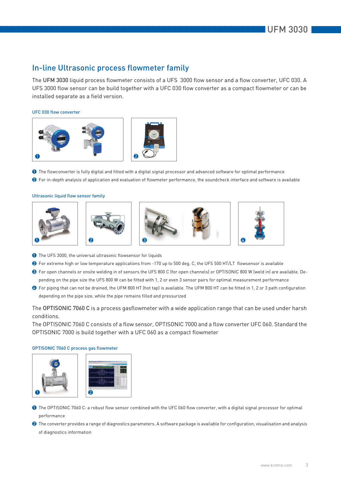# In-line Ultrasonic process flowmeter family

The UFM 3030 liquid process flowmeter consists of a UFS 3000 flow sensor and a flow converter, UFC 030. A UFS 3000 flow sensor can be build together with a UFC 030 flow converter as a compact flowmeter or can be installed separate as a field version.

### UFC 030 flow converter



1 The flowconverter is fully digital and fitted with a digital signal processor and advanced software for optimal performance

<sup>2</sup> For in-depth analysis of application and evaluation of flowmeter performance, the soundcheck interface and software is available

### Ultrasonic liquid flow sensor family



- **1** The UFS 3000, the universal ultrasonic flowsensor for liquids
- 2 For extreme high or low temperature applications from -170 up to 500 deg. C, the UFS 500 HT/LT flowsensor is available
- 3 For open channels or onsite welding in of sensors the UFS 800 C (for open channels) or OPTISONIC 800 W (weld in) are available. Depending on the pipe size the UFS 800 W can be fitted with 1, 2 or even 3 sensor pairs for optimal measurement performance
- 4 For piping that can not be drained, the UFM 800 HT (hot tap) is available. The UFM 800 HT can be fitted in 1, 2 or 3 path configuration depending on the pipe size, while the pipe remains filled and pressurized

The OPTISONIC 7060 C is a process gasflowmeter with a wide application range that can be used under harsh conditions.

The OPTISONIC 7060 C consists of a flow sensor, OPTISONIC 7000 and a flow converter UFC 060. Standard the OPTISONIC 7000 is build together with a UFC 060 as a compact flowmeter

### OPTISONIC 7060 C process gas flowmeter



- 1 The OPTISONIC 7060 C: a robust flow sensor combined with the UFC 060 flow converter, with a digital signal processor for optimal performance
- <sup>2</sup> The converter provides a range of diagnostics parameters. A software package is available for configuration, visualisation and analysis of diagnostics information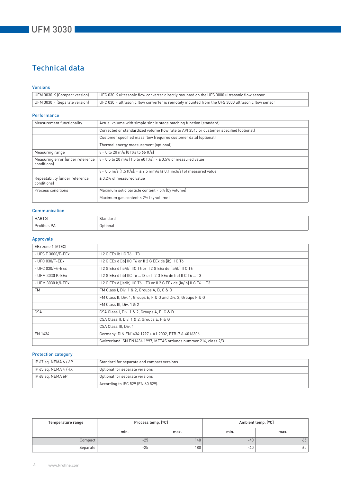# Technical data

### Versions

| UFM 3030 K (Compact version)  | UFC 030 K ultrasonic flow converter directly mounted on the UFS 3000 ultrasonic flow sensor                    |
|-------------------------------|----------------------------------------------------------------------------------------------------------------|
| UFM 3030 F (Separate version) | $\mid$ UFC 030 F ultrasonic flow converter is remotely mounted from the UFS 3000 ultrasonic flow sensor $\mid$ |

### Performance

| Measurement functionality                      | Actual volume with simple single stage batching function (standard)                     |
|------------------------------------------------|-----------------------------------------------------------------------------------------|
|                                                | Corrected or standardized volume flow rate to API 2540 or customer specified (optional) |
|                                                | Customer specified mass flow (requires customer data) (optional)                        |
|                                                | Thermal energy measurement (optional)                                                   |
| Measuring range                                | $v = 0$ to 20 m/s (0 ft/s to 66 ft/s)                                                   |
| Measuring error (under reference<br>conditions | $v = 0.5$ to 20 m/s (1.5 to 60 ft/s): < $\pm$ 0.5% of measured value                    |
|                                                | $v < 0.5$ m/s $(1.5$ ft/s $): < \pm 2.5$ mm/s $(\pm 0.1$ inch/s] of measured value      |
| Repeatability (under reference<br>conditionsl  | ± 0.2% of measured value                                                                |
| Process conditions                             | Maximum solid particle content < 5% (by volume)                                         |
|                                                | Maximum gas content < 2% (by volume)                                                    |

### Communication

| <b>HART®</b>                                                  | btandard |
|---------------------------------------------------------------|----------|
| $\sim$<br>$\cdots$<br>$\overline{\phantom{0}}$<br>Profibus PA | Optional |

# Approvals

| EEx zone 1 (ATEX)  |                                                                     |
|--------------------|---------------------------------------------------------------------|
| - UFS F 3000/F-EEx | $II$ 2 G EEx ib IIC T6 T3                                           |
| - UFC 030/F-EEx    | II 2 G EEx d [ib] IIC T6 or II 2 G EEx de [ib] II C T6              |
| - UFC 030/F/i-EEx  | Il 2 G EEx d [ia/ib] IIC T6 or II 2 G EEx de [ia/ib] II C T6        |
| - UFM 3030 K-EEx   | II 2 G EEx d [ib] IIC T6  T3 or II 2 G EEx de [ib] II C T6  T3      |
| - UFM 3030 K/i-EEx | Il 2 G EEx d [ia/ib] IIC T6 T3 or II 2 G EEx de [ia/ib] II C T6  T3 |
| <b>FM</b>          | FM Class I, Div. 1 & 2, Groups A, B, C & D                          |
|                    | FM Class II, Div. 1, Groups E, F & G and Div. 2, Groups F & G       |
|                    | FM Class III, Div. 1 & 2                                            |
| <b>CSA</b>         | CSA Class I, Div. 1 & 2, Groups A, B, C & D                         |
|                    | CSA Class II, Div. 1 & 2, Groups E, F & G                           |
|                    | CSA Class III, Div. 1                                               |
| EN 1434            | Germany: DIN EN1434:1997 + A1:2002, PTB-7.6-4016306                 |
|                    | Switzerland: SN EN1434:1997, METAS ordungs nummer 216, class 2/3    |

## Protection category

| IP 67 eq. NEMA 6 / 6P | Standard for separate and compact versions |
|-----------------------|--------------------------------------------|
| IP 65 eg. NEMA 4 / 4X | Optional for separate versions             |
| IP 68 eg. NEMA 6P     | Optional for separate versions             |
|                       | According to IEC 529 (EN 60 529).          |

| Temperature range |       | Process temp. [°C] |      | Ambient temp. [°C] |
|-------------------|-------|--------------------|------|--------------------|
|                   | min.  | max.               | min. | max.               |
| Compact           | $-25$ | 140                | -40  | 65                 |
| Separate          | $-25$ | 180                | -40  | 65                 |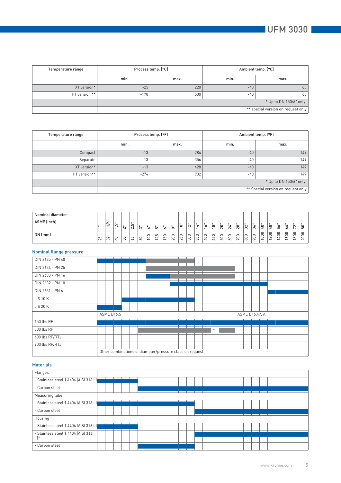| Temperature range |                                    | Process temp. [°C] |       | Ambient temp. [°C]      |  |  |  |  |  |  |  |  |  |
|-------------------|------------------------------------|--------------------|-------|-------------------------|--|--|--|--|--|--|--|--|--|
|                   | min.                               | max.               | min.  | max.                    |  |  |  |  |  |  |  |  |  |
| XT version*       | $-25$                              | 220                | $-40$ | 65                      |  |  |  |  |  |  |  |  |  |
| HT version **     | $-170$                             | 500                | -40   | 65                      |  |  |  |  |  |  |  |  |  |
|                   |                                    |                    |       | * Up to DN 150/6" only. |  |  |  |  |  |  |  |  |  |
|                   | ** special version on request only |                    |       |                         |  |  |  |  |  |  |  |  |  |

| Temperature range |        | Process temp. [°F] | Ambient temp. [°F] |                                    |  |  |  |  |
|-------------------|--------|--------------------|--------------------|------------------------------------|--|--|--|--|
|                   | min.   | max.               | min.               | max.                               |  |  |  |  |
| Compact           | $-13$  | 284                | $-40$              | 149                                |  |  |  |  |
| Separate          | $-13$  | 356                | $-40$              | 149                                |  |  |  |  |
| XT version*       | $-13$  | 428                | $-40$              | 149                                |  |  |  |  |
| HT version**      | $-274$ | 932                | -40                | 149 <sub>1</sub>                   |  |  |  |  |
|                   |        |                    |                    | * Up to DN 150/6" only.            |  |  |  |  |
|                   |        |                    |                    | ** Special version on request only |  |  |  |  |

| Nominal diameter |                          |           |              |               |              |    |                                          |                                         |                    |                      |                               |                                    |                  |                   |                                      |                    |                   |                                          |                          |                   |                                                     |                                                            |                        |                                  |                          |                          |
|------------------|--------------------------|-----------|--------------|---------------|--------------|----|------------------------------------------|-----------------------------------------|--------------------|----------------------|-------------------------------|------------------------------------|------------------|-------------------|--------------------------------------|--------------------|-------------------|------------------------------------------|--------------------------|-------------------|-----------------------------------------------------|------------------------------------------------------------|------------------------|----------------------------------|--------------------------|--------------------------|
| ASME [inch]      | $\overline{\phantom{0}}$ | -<br>-    | LO           | $\sim$        | عا<br>$\sim$ | ന  | ы                                        | 5                                       | ∽                  | $\infty$             | ⊂<br>$\overline{\phantom{0}}$ | $\sim$<br>$\overline{\phantom{0}}$ | ы                | ∽                 | $\infty$<br>$\overline{\phantom{0}}$ | ່ສ                 | ы<br>$\sim$       | $\infty$<br>$\sim$                       | $\sim$<br>່ຕ             | ╰<br>ო            | . .<br>$\circ$<br>◅                                 | $\infty$<br>$\mathbf{H}$                                   | ╰<br>LO                | ◅<br>╰                           | $\sim$<br>∼              | $\circ$<br>$\infty$      |
| DN [mm]          | က<br>$\bar{\sim}$        | $\approx$ | $\circ$<br>≺ | $\circ$<br>LO | ம<br>╰       | 80 | c<br>$\circ$<br>$\overline{\phantom{0}}$ | c<br>$\sim$<br>$\overline{\phantom{0}}$ | $\circ$<br>LO<br>- | 0<br>$\overline{20}$ | $\circ$<br>25                 | $\circ$<br>8                       | $\Box$<br>5<br>ო | 0<br>$\circ$<br>≺ | 0<br>5<br>◅                          | 0<br>$\circ$<br>LO | ⊂<br>$\circ$<br>╰ | ▭<br>$\circ$<br>$\overline{\phantom{0}}$ | ▭<br>$\circ$<br>$\infty$ | 0<br>$\circ$<br>ᡐ | 0<br>$\circ$<br>$\circ$<br>$\overline{\phantom{0}}$ | $\circ$<br>$\subset$<br>$\sim$<br>$\overline{\phantom{0}}$ | 0<br>$\circ$<br>◅<br>- | 0<br>$\mathbf{\Omega}$<br>╰<br>- | 0<br>$\circ$<br>$\infty$ | $\circ$<br>$\circ$<br> ສ |

# Nominal flange pressure

| DIN 2635 - PN 40 |                   |                                                           |  |  |  |  |   |  |                |  |  |  |
|------------------|-------------------|-----------------------------------------------------------|--|--|--|--|---|--|----------------|--|--|--|
| DIN 2634 - PN 25 |                   |                                                           |  |  |  |  |   |  |                |  |  |  |
| DIN 2633 - PN 16 |                   |                                                           |  |  |  |  |   |  |                |  |  |  |
| DIN 2632 - PN 10 |                   |                                                           |  |  |  |  |   |  |                |  |  |  |
| DIN 2631 - PN 6  |                   |                                                           |  |  |  |  |   |  |                |  |  |  |
| <b>JIS 10 K</b>  |                   |                                                           |  |  |  |  |   |  |                |  |  |  |
| <b>JIS 20 K</b>  |                   |                                                           |  |  |  |  |   |  |                |  |  |  |
|                  | <b>ASME B16.5</b> |                                                           |  |  |  |  |   |  | ASME B16.47, A |  |  |  |
| 150 lbs RF       |                   |                                                           |  |  |  |  |   |  |                |  |  |  |
| 300 lbs RF       |                   |                                                           |  |  |  |  | ٠ |  |                |  |  |  |
| 600 lbs RF/RTJ   |                   |                                                           |  |  |  |  |   |  |                |  |  |  |
| 900 lbs RF/RTJ   |                   |                                                           |  |  |  |  |   |  |                |  |  |  |
|                  |                   | Other combinations of diameter/pressure class on request. |  |  |  |  |   |  |                |  |  |  |

### Materials

| Flanges                               |  |  |  |  |  |  |  |  |  |  |  |  |  |
|---------------------------------------|--|--|--|--|--|--|--|--|--|--|--|--|--|
| - Stainless steel 1.4404 [AISI 316 L] |  |  |  |  |  |  |  |  |  |  |  |  |  |
| - Carbon steel                        |  |  |  |  |  |  |  |  |  |  |  |  |  |
| Measuring tube                        |  |  |  |  |  |  |  |  |  |  |  |  |  |
| - Stainless steel 1.4404 (AISI 316 L) |  |  |  |  |  |  |  |  |  |  |  |  |  |
| - Carbon steel                        |  |  |  |  |  |  |  |  |  |  |  |  |  |
| Housing                               |  |  |  |  |  |  |  |  |  |  |  |  |  |
| - Stainless steel 1.4404 (AISI 316 L) |  |  |  |  |  |  |  |  |  |  |  |  |  |
| - Stainless steel 1.4404 (AISI 316    |  |  |  |  |  |  |  |  |  |  |  |  |  |
| $L$ <sup>*</sup>                      |  |  |  |  |  |  |  |  |  |  |  |  |  |
| - Carbon steel                        |  |  |  |  |  |  |  |  |  |  |  |  |  |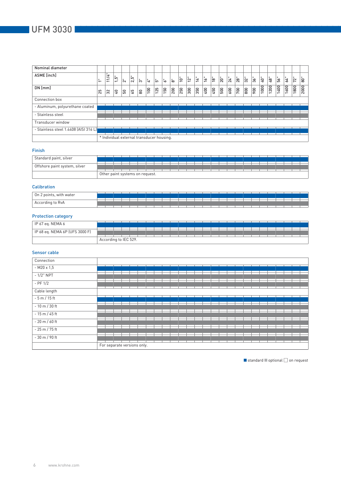| <b>Nominal diameter</b>               |                                                  |                                           |                                                 |                     |      |    |     |     |            |     |     |     |               |     |                |     |                 |                 |               |                  |      |      |                                 |      |                       |         |
|---------------------------------------|--------------------------------------------------|-------------------------------------------|-------------------------------------------------|---------------------|------|----|-----|-----|------------|-----|-----|-----|---------------|-----|----------------|-----|-----------------|-----------------|---------------|------------------|------|------|---------------------------------|------|-----------------------|---------|
| ASME [inch]                           | $\ddot{\phantom{a}}$<br>$\overline{\phantom{0}}$ | Ч<br>≒<br>$\overline{\phantom{0}}$        | ้ <sub>בُ</sub> مَا<br>$\overline{\phantom{0}}$ | $\bar{\ddot{\sim}}$ | 2,5" | ြက | ्   | j۵  | !ಒ         | ႜႝ  | ig" | 12" | $\frac{1}{2}$ | 16" | $\frac{1}{18}$ | 20" | $\overline{24}$ | $\overline{28}$ | 32"           | ిత్ <sup>.</sup> | 40"  | ဖြာ  | 56"                             | 64"  | ı =<br>$\overline{2}$ | х.<br>응 |
| DN [mm]                               | ಸಿ                                               | $\overline{3}$                            | $\mathsf{G}$                                    | 50                  | 59   | 80 | 100 | 125 | <b>150</b> | 200 | 250 | 300 | 350           | 400 | 450            | 500 | 600             | 700             | $\frac{1}{8}$ | 900              | 1000 | 1200 | 400<br>$\overline{\phantom{0}}$ | 1600 | 1800                  | 2000    |
| Connection box                        |                                                  |                                           |                                                 |                     |      |    |     |     |            |     |     |     |               |     |                |     |                 |                 |               |                  |      |      |                                 |      |                       |         |
| - Aluminum, polyurethane coated       |                                                  |                                           |                                                 |                     |      |    |     |     |            |     |     |     |               |     |                |     |                 |                 |               |                  |      |      |                                 |      |                       |         |
| - Stainless steel                     |                                                  |                                           |                                                 |                     |      |    |     |     |            |     |     |     |               |     |                |     |                 |                 |               |                  |      |      |                                 |      |                       |         |
| Transducer window                     |                                                  |                                           |                                                 |                     |      |    |     |     |            |     |     |     |               |     |                |     |                 |                 |               |                  |      |      |                                 |      |                       |         |
| - Stainless steel 1.4408 [AISI 316 L] |                                                  |                                           |                                                 |                     |      |    |     |     |            |     |     |     |               |     |                |     |                 |                 |               |                  |      |      |                                 |      |                       |         |
|                                       |                                                  | * Individual external transducer housing. |                                                 |                     |      |    |     |     |            |     |     |     |               |     |                |     |                 |                 |               |                  |      |      |                                 |      |                       |         |

# Finish

| Standard paint, silver        |  |  |                                 |  |  |  |  |  |  |  |  |  |  |  |
|-------------------------------|--|--|---------------------------------|--|--|--|--|--|--|--|--|--|--|--|
| Offshore paint system, silver |  |  |                                 |  |  |  |  |  |  |  |  |  |  |  |
|                               |  |  | Other paint systems on request. |  |  |  |  |  |  |  |  |  |  |  |

### **Calibration**

| On 2 points, with water |  |  |  |  |  |  |  |  |  |  |  |  |  |
|-------------------------|--|--|--|--|--|--|--|--|--|--|--|--|--|
|                         |  |  |  |  |  |  |  |  |  |  |  |  |  |
| to RvA<br>According     |  |  |  |  |  |  |  |  |  |  |  |  |  |

# Protection category

| IP 67 eq. NEMA 6               |  |  |                       |  |  |  |  |  |  |  |  |  |  |  |
|--------------------------------|--|--|-----------------------|--|--|--|--|--|--|--|--|--|--|--|
|                                |  |  |                       |  |  |  |  |  |  |  |  |  |  |  |
|                                |  |  |                       |  |  |  |  |  |  |  |  |  |  |  |
|                                |  |  |                       |  |  |  |  |  |  |  |  |  |  |  |
| IP 68 eq. NEMA 6P (UFS 3000 F) |  |  |                       |  |  |  |  |  |  |  |  |  |  |  |
|                                |  |  |                       |  |  |  |  |  |  |  |  |  |  |  |
|                                |  |  |                       |  |  |  |  |  |  |  |  |  |  |  |
|                                |  |  |                       |  |  |  |  |  |  |  |  |  |  |  |
|                                |  |  | According to IEC 529. |  |  |  |  |  |  |  |  |  |  |  |
|                                |  |  |                       |  |  |  |  |  |  |  |  |  |  |  |

### Sensor cable

| Connection        |                             |  |  |  |  |  |  |  |  |  |  |  |  |
|-------------------|-----------------------------|--|--|--|--|--|--|--|--|--|--|--|--|
| $-M20 \times 1,5$ |                             |  |  |  |  |  |  |  |  |  |  |  |  |
| $-1/2$ " NPT      |                             |  |  |  |  |  |  |  |  |  |  |  |  |
| $-$ PF 1/2        |                             |  |  |  |  |  |  |  |  |  |  |  |  |
| Cable length      |                             |  |  |  |  |  |  |  |  |  |  |  |  |
| $-5$ m / 15 ft    |                             |  |  |  |  |  |  |  |  |  |  |  |  |
| $-10$ m $/30$ ft  |                             |  |  |  |  |  |  |  |  |  |  |  |  |
| $-15$ m / 45 ft   |                             |  |  |  |  |  |  |  |  |  |  |  |  |
| $-20$ m / 60 ft   |                             |  |  |  |  |  |  |  |  |  |  |  |  |
| - 25 m / 75 ft    |                             |  |  |  |  |  |  |  |  |  |  |  |  |
| $-30$ m / 90 ft   |                             |  |  |  |  |  |  |  |  |  |  |  |  |
|                   | For separate versions only. |  |  |  |  |  |  |  |  |  |  |  |  |

 $\blacksquare$  standard  $\blacksquare$  optional  $\Box$  on request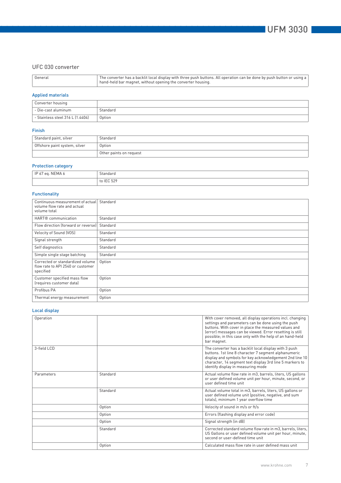# UFC 030 converter

### Applied materials

| Converter housing                |          |
|----------------------------------|----------|
| - Die-cast aluminum              | Standard |
| - Stainless steel 316 L (1.4404) | Option   |

### Finish

| Standard paint, silver        | Standard                |
|-------------------------------|-------------------------|
| Offshore paint system, silver | Option                  |
|                               | Other paints on request |

# Protection category

| . NEMA 6<br>ID<br>ea.<br>$\cdot$ IP 6/ c. | $\sim$<br>btandard             |
|-------------------------------------------|--------------------------------|
|                                           | $\sim$ IEC 520<br>$+ -$<br>JZ. |

### Functionality

| Continuous measurement of actual<br>volume flow rate and actual<br>volume total    | Standard |
|------------------------------------------------------------------------------------|----------|
| HART <sup>®</sup> communication                                                    | Standard |
| Flow direction (forward or reverse)                                                | Standard |
| Velocity of Sound (VOS)                                                            | Standard |
| Signal strength                                                                    | Standard |
| Self diagnostics                                                                   | Standard |
| Simple single stage batching                                                       | Standard |
| Corrected or standardized volume<br>flow rate to API 2540 or customer<br>specified | Option   |
| Customer specified mass flow<br>(requires customer data)                           | Option   |
| Profibus PA                                                                        | Option   |
| Thermal energy measurement                                                         | Option   |

### Local display

| Operation   |          | With cover removed, all display operations incl. changing<br>settings and parameters can be done using the push<br>buttons. With cover in place the measured values and<br>(error) messages can be viewed. Error resetting is still<br>possible; in this case only with the help of an hand-held<br>bar magnet. |
|-------------|----------|-----------------------------------------------------------------------------------------------------------------------------------------------------------------------------------------------------------------------------------------------------------------------------------------------------------------|
| 3-field LCD |          | The converter has a backlit local display with 3 push<br>buttons. 1st line 8 character 7 segment alphanumeric<br>display and symbols for key acknowledgement 2nd line 10<br>character, 14 segment text display 3rd line 5 markers to<br>identify display in measuring mode                                      |
| Parameters  | Standard | Actual volume flow rate in m3, barrels, liters, US gallons<br>or user defined volume unit per hour, minute, second, or<br>user defined time unit                                                                                                                                                                |
|             | Standard | Actual volume total in m3, barrels, liters, US gallons or<br>user defined volume unit (positive, negative, and sum<br>totals), minimum 1 year overflow time                                                                                                                                                     |
|             | Option   | Velocity of sound in m/s or ft/s                                                                                                                                                                                                                                                                                |
|             | Option   | Errors (flashing display and error code)                                                                                                                                                                                                                                                                        |
|             | Option   | Signal strength (in dB)                                                                                                                                                                                                                                                                                         |
|             | Standard | Corrected standard volume flow rate in m3, barrels, liters,<br>US Gallons or user defined volume unit per hour, minute,<br>second or user-defined time unit                                                                                                                                                     |
|             | Option   | Calculated mass flow rate in user defined mass unit                                                                                                                                                                                                                                                             |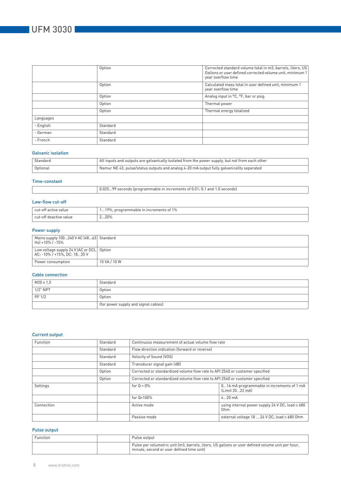|           | Option   | Corrected standard volume total in m3, barrels, liters, US<br>Gallons or user defined corrected volume unit, minimum 1<br>year overflow time |
|-----------|----------|----------------------------------------------------------------------------------------------------------------------------------------------|
|           | Option   | Calculated mass total in user defined unit, minimum 1<br>year overflow time                                                                  |
|           | Option   | Analog input in °C, °F, bar or psig                                                                                                          |
|           | Option   | Thermal power                                                                                                                                |
|           | Option   | Thermal energy totalized                                                                                                                     |
| Languages |          |                                                                                                                                              |
| - English | Standard |                                                                                                                                              |
| - German  | Standard |                                                                                                                                              |
| - French  | Standard |                                                                                                                                              |

### Galvanic isolation

| Standard | All inputs and outputs are galvanically isolated from the power supply, but not from each other |
|----------|-------------------------------------------------------------------------------------------------|
| Optional | Namur NE 43, pulse/status outputs and analog 4-20 mA output fully galvanicallty separated       |

### Time-constant

|  | 0.02599 seconds (programmable in increments of 0.01; 0.1 and 1.0 seconds) |
|--|---------------------------------------------------------------------------|
|--|---------------------------------------------------------------------------|

### Low-flow cut-off

| cut-off active value                | 100<br>programmable in increments of 1%<br>. |
|-------------------------------------|----------------------------------------------|
| . cut-ott<br>t deactive value.<br>. | 220%                                         |

### Power supply

| Mains supply 100240 V AC (4863) Standard<br>Hz) +10% / -15%               |              |
|---------------------------------------------------------------------------|--------------|
| Low voltage supply 24 V (AC or DC), Option<br>AC: -10% / +15%. DC: 1835 V |              |
| Power consumption                                                         | 10 VA / 10 W |

### Cable connection

| M20 x 1.5   | Standard                             |
|-------------|--------------------------------------|
| $1/2$ " NPT | Option                               |
| PF 1/2      | Option                               |
|             | (for power supply and signal cables) |

### Current output

| Function   | Standard | Continuous measurement of actual volume flow rate                                      |                                              |  |  |
|------------|----------|----------------------------------------------------------------------------------------|----------------------------------------------|--|--|
|            | Standard | Flow direction indication (forward or reverse)                                         |                                              |  |  |
|            | Standard | Velocity of Sound (VOS)                                                                |                                              |  |  |
|            | Standard | Transducer signal gain (dB)                                                            |                                              |  |  |
|            | Option   | Corrected or standardized volume flow rate to API 2540 or customer specified           |                                              |  |  |
|            | Option   | Corrected or standardized volume flow rate to API 2540 or customer specified           |                                              |  |  |
| Settings   |          | 016 mA programmable in increments of 1 mA<br>for $Q = 0\%$<br>[Limit 2022 mA]          |                                              |  |  |
|            |          | for $Q=100\%$<br>$420$ mA                                                              |                                              |  |  |
| Connection |          | using internal power supply 24 V DC, load $\leq 680$<br>Active mode<br>0 <sub>hm</sub> |                                              |  |  |
|            |          | Passive mode                                                                           | external voltage 18  24 V DC, load ≤ 680 Ohm |  |  |

### Pulse output

| Function | Pulse output                                                                                                                                  |
|----------|-----------------------------------------------------------------------------------------------------------------------------------------------|
|          | Pulse per volumetric unit (m3, barrels, liters, US gallons or user defined volume unit per hour,<br>minute, second or user defined time unit) |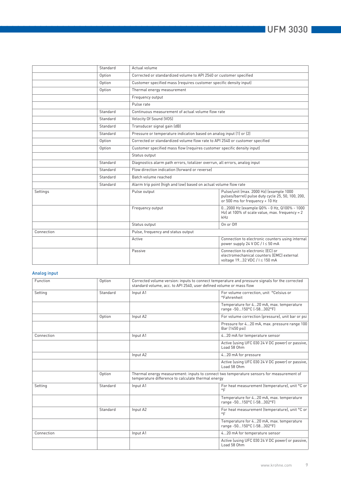|            | Standard | Actual volume                                                                                                                                   |  |  |
|------------|----------|-------------------------------------------------------------------------------------------------------------------------------------------------|--|--|
|            | Option   | Corrected or standardized volume to API 2540 or customer specified                                                                              |  |  |
|            | Option   | Customer specified mass (requires customer specific density input)                                                                              |  |  |
|            | Option   | Thermal energy measurement                                                                                                                      |  |  |
|            |          | Frequency output                                                                                                                                |  |  |
|            |          | Pulse rate                                                                                                                                      |  |  |
|            | Standard | Continuous measurement of actual volume flow rate                                                                                               |  |  |
|            | Standard | Velocity Of Sound (VOS)                                                                                                                         |  |  |
|            | Standard | Transducer signal gain (dB)                                                                                                                     |  |  |
|            | Standard | Pressure or temperature indication based on analog input (1) or (2)                                                                             |  |  |
|            | Option   | Corrected or standardized volume flow rate to API 2540 or customer specified                                                                    |  |  |
|            | Option   | Customer specified mass flow (requires customer specific density input)                                                                         |  |  |
|            |          | Status output                                                                                                                                   |  |  |
|            | Standard | Diagnostics alarm path errors, totalizer overrun, all errors, analog input                                                                      |  |  |
|            | Standard | Flow direction indication (forward or reverse)                                                                                                  |  |  |
|            | Standard | Batch volume reached                                                                                                                            |  |  |
|            | Standard | Alarm trip point (high and low) based on actual volume flow rate                                                                                |  |  |
| Settings   |          | Pulse/unit (max. 2000 Hz) (example 1000<br>Pulse output<br>pulses/barrel) pulse duty cycle 25, 50, 100, 200,<br>or 500 ms for frequency < 10 Hz |  |  |
|            |          | 02000 Hz (example Q0% - 0 Hz, Q100% - 1000<br>Frequency output<br>Hz) at 100% of scale value, max. frequency = 2<br>kHz                         |  |  |
|            |          | On or Off<br>Status output                                                                                                                      |  |  |
| Connection |          | Pulse, frequency and status output                                                                                                              |  |  |
|            |          | Active<br>Connection to electronic counters using internal<br>power supply 24 V DC / I ≤ 50 mA                                                  |  |  |
|            |          | Connection to electronic (EC) or<br>Passive<br>electromechanical counters (EMC) external<br>voltage 1932 VDC / I ≤ 150 mA                       |  |  |

### Analog input

| Function   | Option   | Corrected volume version: inputs to connect temperature and pressure signals for the corrected<br>standard volume, acc. to API 2540, user defined volume or mass flow |                                                                                          |  |
|------------|----------|-----------------------------------------------------------------------------------------------------------------------------------------------------------------------|------------------------------------------------------------------------------------------|--|
| Setting    | Standard | Input A1                                                                                                                                                              | For volume correction, unit °Celsius or<br>°Fahrenheit                                   |  |
|            |          |                                                                                                                                                                       | Temperature for 420 mA, max. temperature<br>range -50150°C (-58302°F)                    |  |
|            | Option   | Input A2                                                                                                                                                              | For volume correction (pressure), unit bar or psi                                        |  |
|            |          |                                                                                                                                                                       | Pressure for 420 mA, max. pressure range 100<br>Bar (1450 psi)                           |  |
| Connection |          | Input A1                                                                                                                                                              | 420 mA for temperature sensor                                                            |  |
|            |          |                                                                                                                                                                       | Active (using UFC 030 24 V DC power) or passive,<br>Load 58 Ohm                          |  |
|            |          | Input A2                                                                                                                                                              | 420 mA for pressure                                                                      |  |
|            |          |                                                                                                                                                                       | Active (using UFC 030 24 V DC power) or passive.<br>Load 58 Ohm                          |  |
|            | Option   | temperature difference to calculate thermal energy                                                                                                                    | Thermal energy measurement: inputs to connect two temperature sensors for measurement of |  |
| Setting    | Standard | Input A1                                                                                                                                                              | For heat measurement (temperature), unit °C or<br>$\circ$ F                              |  |
|            |          |                                                                                                                                                                       | Temperature for 420 mA, max. temperature<br>range -50150°C (-58302°F)                    |  |
|            | Standard | Input A2                                                                                                                                                              | For heat measurement (temperature), unit °C or<br>$^{\circ}$ F                           |  |
|            |          |                                                                                                                                                                       | Temperature for 420 mA, max. temperature<br>range -50150°C (-58302°F)                    |  |
| Connection |          | Input A1                                                                                                                                                              | 420 mA for temperature sensor                                                            |  |
|            |          |                                                                                                                                                                       | Active (using UFC 030 24 V DC power) or passive.<br>Load 58 Ohm                          |  |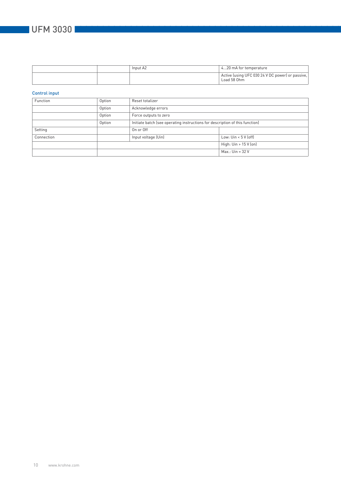# **UFM 3030**

|  | Input A2 | 420 mA for temperature                                          |
|--|----------|-----------------------------------------------------------------|
|  |          | Active (using UFC 030 24 V DC power) or passive,<br>Load 58 Ohm |

### Control input

| Function   | Option | Reset totalizer                                                              |                       |  |
|------------|--------|------------------------------------------------------------------------------|-----------------------|--|
|            | Option | Acknowledge errors                                                           |                       |  |
|            | Option | Force outputs to zero                                                        |                       |  |
|            | Option | Initiate batch (see operating instructions for description of this function) |                       |  |
| Setting    |        | On or Off                                                                    |                       |  |
| Connection |        | Input voltage (Uin)                                                          | Low: $Un < 5 V$ (off) |  |
|            |        |                                                                              | High: Uin > 15 V (on) |  |
|            |        |                                                                              | $Max.:$ Uin = 32 V    |  |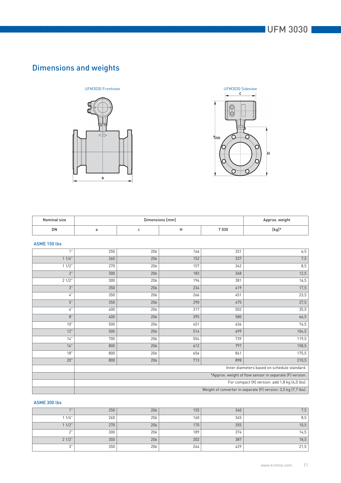# Dimensions and weights





| Nominal size | Dimensions [mm] |  |  |       | Approx. weight |
|--------------|-----------------|--|--|-------|----------------|
| DN           |                 |  |  | T 030 | [kg]*          |

### ASME 150 lbs

| 1"       | 250                                                            | 206 | 146 | 331 | 6,5   |
|----------|----------------------------------------------------------------|-----|-----|-----|-------|
| 11/4"    | 260                                                            | 206 | 152 | 337 | 7,5   |
| $11/2$ " | 270                                                            | 206 | 157 | 342 | 8,5   |
| 2"       | 300                                                            | 206 | 183 | 368 | 12,5  |
| 21/2"    | 300                                                            | 206 | 196 | 381 | 16,5  |
| 3"       | 350                                                            | 206 | 234 | 419 | 17,5  |
| $4"$     | 350                                                            | 206 | 266 | 451 | 23,5  |
| 5"       | 350                                                            | 206 | 290 | 475 | 27,5  |
| 6"       | 400                                                            | 206 | 317 | 502 | 35,5  |
| 8"       | 400                                                            | 206 | 395 | 580 | 66,5  |
| 10"      | 500                                                            | 206 | 451 | 636 | 74,5  |
| 12"      | 500                                                            | 206 | 514 | 699 | 104,5 |
| 14"      | 700                                                            | 206 | 554 | 739 | 119,5 |
| 16"      | 800                                                            | 206 | 612 | 797 | 158,5 |
| 18"      | 800                                                            | 206 | 656 | 841 | 175,5 |
| 20"      | 800                                                            | 206 | 713 | 898 | 210,5 |
|          | Inner diameters based on schedule standard.                    |     |     |     |       |
|          | *Approx. weight of flow sensor in separate (F) version.        |     |     |     |       |
|          | For compact (K) version: add 1,8 kg (4,0 lbs).                 |     |     |     |       |
|          | Weight of converter in separate (F) version: 3,5 kg (7,7 lbs). |     |     |     |       |

### ASME 300 lbs

| $A$ <sub>11</sub> | 250 | 206 | 155 | 340 | 7,5  |
|-------------------|-----|-----|-----|-----|------|
| 1/4"              | 260 | 206 | 160 | 345 | 8,5  |
| 11/2"             | 270 | 206 | 170 | 355 | 10,5 |
| $\sim$            | 300 | 206 | 189 | 374 | 14,5 |
| 21/2"             | 350 | 206 | 202 | 387 | 18,5 |
| יירי<br>◡         | 350 | 206 | 244 | 429 | 21,5 |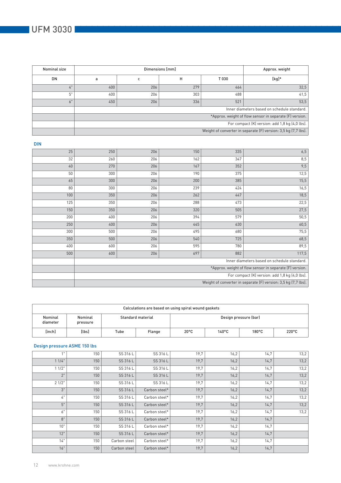| Nominal size | Dimensions [mm]                                         |                                                                |     |       | Approx. weight |  |  |
|--------------|---------------------------------------------------------|----------------------------------------------------------------|-----|-------|----------------|--|--|
| DN           |                                                         |                                                                | н   | T 030 | $[kg]*$        |  |  |
| 4"           | 400                                                     | 206                                                            | 279 | 464   | 32,5           |  |  |
| 5"           | 400                                                     | 206                                                            | 303 | 488   | 41,5           |  |  |
| 6"           | 450                                                     | 206                                                            | 336 | 521   | 53,5           |  |  |
|              | Inner diameters based on schedule standard.             |                                                                |     |       |                |  |  |
|              | *Approx. weight of flow sensor in separate (F) version. |                                                                |     |       |                |  |  |
|              | For compact (K) version: add 1,8 kg (4,0 lbs).          |                                                                |     |       |                |  |  |
|              |                                                         | Weight of converter in separate (F) version: 3,5 kg (7,7 lbs). |     |       |                |  |  |

| <b>DIN</b> |                                                         |     |     |     |                                                                |
|------------|---------------------------------------------------------|-----|-----|-----|----------------------------------------------------------------|
| 25         | 250                                                     | 206 | 150 | 335 | 6,5                                                            |
| 32         | 260                                                     | 206 | 162 | 347 | 8,5                                                            |
| 40         | 270                                                     | 206 | 167 | 352 | 9,5                                                            |
| 50         | 300                                                     | 206 | 190 | 375 | 12,5                                                           |
| 65         | 300                                                     | 206 | 200 | 385 | 15,5                                                           |
| 80         | 300                                                     | 206 | 239 | 424 | 16,5                                                           |
| 100        | 350                                                     | 206 | 262 | 447 | 18,5                                                           |
| 125        | 350                                                     | 206 | 288 | 473 | 22,5                                                           |
| 150        | 350                                                     | 206 | 320 | 505 | 27,5                                                           |
| 200        | 400                                                     | 206 | 394 | 579 | 50,5                                                           |
| 250        | 400                                                     | 206 | 445 | 630 | 60,5                                                           |
| 300        | 500                                                     | 206 | 495 | 680 | 75,5                                                           |
| 350        | 500                                                     | 206 | 540 | 725 | 68,5                                                           |
| 400        | 600                                                     | 206 | 595 | 780 | 89,5                                                           |
| 500        | 600                                                     | 206 | 697 | 882 | 117,5                                                          |
|            |                                                         |     |     |     | Inner diameters based on schedule standard.                    |
|            | *Approx. weight of flow sensor in separate (F) version. |     |     |     |                                                                |
|            | For compact (K) version: add 1,8 kg (4,0 lbs).          |     |     |     |                                                                |
|            |                                                         |     |     |     | Weight of converter in separate (F) version: 3,5 kg (7,7 lbs). |

| Calculations are based on using spiral wound gaskets |                     |                                            |                |                 |                 |                 |  |  |  |
|------------------------------------------------------|---------------------|--------------------------------------------|----------------|-----------------|-----------------|-----------------|--|--|--|
| Nominal<br>diameter                                  | Nominal<br>pressure | Standard material<br>Design pressure (bar) |                |                 |                 |                 |  |  |  |
| [inch]                                               | [lbs]               | Tube                                       | $20^{\circ}$ C | $140^{\circ}$ C | $180^{\circ}$ C | $220^{\circ}$ C |  |  |  |

### Design pressure ASME 150 lbs

| 1"       | 150 | SS 316 L     | SS 316 L      | 19,7 | 16,2 | 14.7 | 13,2 |
|----------|-----|--------------|---------------|------|------|------|------|
| 11/4"    | 150 | SS 316 L     | SS 316 L      | 19,7 | 16,2 | 14,7 | 13,2 |
| $11/2$ " | 150 | SS 316 L     | SS 316 L      | 19,7 | 16,2 | 14,7 | 13,2 |
| 2"       | 150 | SS 316 L     | SS 316 L      | 19,7 | 16,2 | 14,7 | 13,2 |
| 21/2"    | 150 | SS 316 L     | SS 316 L      | 19,7 | 16,2 | 14,7 | 13,2 |
| 3"       | 150 | SS 316 L     | Carbon steel* | 19,7 | 16,2 | 14,7 | 13,2 |
| 4"       | 150 | SS 316 L     | Carbon steel* | 19,7 | 16,2 | 14,7 | 13,2 |
| 5"       | 150 | SS 316 L     | Carbon steel* | 19,7 | 16,2 | 14,7 | 13,2 |
| 6"       | 150 | SS 316 L     | Carbon steel* | 19,7 | 16,2 | 14.7 | 13,2 |
| 8"       | 150 | SS 316 L     | Carbon steel* | 19,7 | 16,2 | 14,7 |      |
| 10"      | 150 | SS 316 L     | Carbon steel* | 19,7 | 16,2 | 14.7 |      |
| 12"      | 150 | SS 316 L     | Carbon steel* | 19,7 | 16,2 | 14,7 |      |
| 14"      | 150 | Carbon steel | Carbon steel* | 19,7 | 16,2 | 14,7 |      |
| 16"      | 150 | Carbon steel | Carbon steel* | 19,7 | 16,2 | 14,7 |      |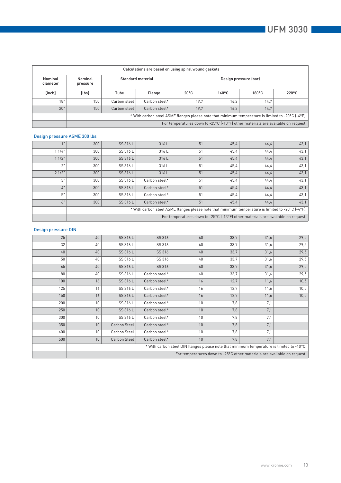|                     | Calculations are based on using spiral wound gaskets |                                                                                                   |               |                                                                                  |                 |                 |                 |  |  |  |  |
|---------------------|------------------------------------------------------|---------------------------------------------------------------------------------------------------|---------------|----------------------------------------------------------------------------------|-----------------|-----------------|-----------------|--|--|--|--|
| Nominal<br>diameter | Nominal<br>pressure                                  | Design pressure (bar)<br>Standard material                                                        |               |                                                                                  |                 |                 |                 |  |  |  |  |
| [inch]              | $[l$ bs $]$                                          | Tube                                                                                              | Flange        | $20^{\circ}$ C                                                                   | $140^{\circ}$ C | $180^{\circ}$ C | $220^{\circ}$ C |  |  |  |  |
| 18"                 | 150                                                  | Carbon steel                                                                                      | Carbon steel* | 19.7                                                                             | 16.2            | 14.7            |                 |  |  |  |  |
| 20"                 | 150                                                  | Carbon steel                                                                                      | Carbon steel* | 19.7                                                                             | 16.2            | 14.7            |                 |  |  |  |  |
|                     |                                                      | * With carbon steel ASME flanges please note that minimum temperature is limited to -20°C [-4°F]. |               |                                                                                  |                 |                 |                 |  |  |  |  |
|                     |                                                      |                                                                                                   |               | For temperatures down to -25°C (-13°F) other materials are available on request. |                 |                 |                 |  |  |  |  |

# Design pressure ASME 300 lbs

| 1"    | 300 | SS 316 L                                                                                          | 316L          | 51 | 45,4                                                                             | 44,4  | 43,1 |  |  |
|-------|-----|---------------------------------------------------------------------------------------------------|---------------|----|----------------------------------------------------------------------------------|-------|------|--|--|
| 11/4" | 300 | SS 316 L                                                                                          | 316L          | 51 | 45,4                                                                             | 44,4  | 43,1 |  |  |
| 11/2" | 300 | SS 316 L                                                                                          | 316L          | 51 | 45,4                                                                             | 44,4  | 43,1 |  |  |
| 2"    | 300 | SS 316 L                                                                                          | 316L          | 51 | 45,4                                                                             | 44,4  | 43,1 |  |  |
| 21/2" | 300 | SS 316 L                                                                                          | 316L          | 51 | 45,4                                                                             | 44, 4 | 43,1 |  |  |
| 3"    | 300 | SS 316 L                                                                                          | Carbon steel* | 51 | 45,4                                                                             | 44,4  | 43,1 |  |  |
| 4"    | 300 | SS 316 L                                                                                          | Carbon steel* | 51 | 45,4                                                                             | 44, 4 | 43,1 |  |  |
| 5"    | 300 | SS 316 L                                                                                          | Carbon steel* | 51 | 45,4                                                                             | 44,4  | 43,1 |  |  |
| 6"    | 300 | SS 316 L                                                                                          | Carbon steel* | 51 | 45,4                                                                             | 44, 4 | 43,1 |  |  |
|       |     | * With carbon steel ASME flanges please note that minimum temperature is limited to -20°C (-4°F). |               |    |                                                                                  |       |      |  |  |
|       |     |                                                                                                   |               |    | For temperatures down to -25°C (-13°F) other materials are available on request. |       |      |  |  |

# Design pressure DIN

| 25  | 40 | SS 316 L            | SS 316        | 40 | 33,7                                                                                      | 31,6 | 29,5 |
|-----|----|---------------------|---------------|----|-------------------------------------------------------------------------------------------|------|------|
| 32  | 40 | SS 316 L            | SS 316        | 40 | 33,7                                                                                      | 31,6 | 29,5 |
| 40  | 40 | SS 316 L            | SS 316        | 40 | 33,7                                                                                      | 31,6 | 29,5 |
| 50  | 40 | SS 316 L            | SS 316        | 40 | 33,7                                                                                      | 31,6 | 29,5 |
| 65  | 40 | SS 316 L            | SS 316        | 40 | 33,7                                                                                      | 31,6 | 29,5 |
| 80  | 40 | SS 316 L            | Carbon steel* | 40 | 33,7                                                                                      | 31,6 | 29,5 |
| 100 | 16 | SS 316 L            | Carbon steel* | 16 | 12,7                                                                                      | 11,6 | 10,5 |
| 125 | 16 | SS 316 L            | Carbon steel* | 16 | 12,7                                                                                      | 11,6 | 10,5 |
| 150 | 16 | SS 316 L            | Carbon steel* | 16 | 12,7                                                                                      | 11,6 | 10,5 |
| 200 | 10 | SS 316 L            | Carbon steel* | 10 | 7,8                                                                                       | 7,1  |      |
| 250 | 10 | SS 316 L            | Carbon steel* | 10 | 7,8                                                                                       | 7,1  |      |
| 300 | 10 | SS 316 L            | Carbon steel* | 10 | 7,8                                                                                       | 7,1  |      |
| 350 | 10 | <b>Carbon Steel</b> | Carbon steel* | 10 | 7,8                                                                                       | 7,1  |      |
| 400 | 10 | Carbon Steel        | Carbon steel* | 10 | 7,8                                                                                       | 7.1  |      |
| 500 | 10 | Carbon Steel        | Carbon steel* | 10 | 7,8                                                                                       | 7,1  |      |
|     |    |                     |               |    | * With carbon steel DIN flanges please note that minimum temperature is limited to -10°C. |      |      |
|     |    |                     |               |    | For temperatures down to -25°C other materials are available on request.                  |      |      |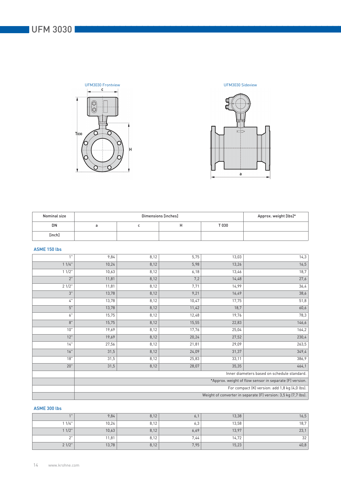



| Nominal size |  | Approx. weight [lbs]* |       |  |
|--------------|--|-----------------------|-------|--|
| DN           |  | п                     | T 030 |  |
| [inch]       |  |                       |       |  |

### ASME 150 lbs

| 1"    | 9,84  | 8,12                                                    | 5,75  | 13,03 | 14,3                                                           |  |
|-------|-------|---------------------------------------------------------|-------|-------|----------------------------------------------------------------|--|
| 11/4" | 10,24 | 8,12                                                    | 5,98  | 13,26 | 16,5                                                           |  |
| 11/2" | 10,63 | 8,12                                                    | 6,18  | 13,46 | 18,7                                                           |  |
| 2"    | 11,81 | 8,12                                                    | 7,2   | 14,48 | 27,6                                                           |  |
| 21/2" | 11,81 | 8,12                                                    | 7,71  | 14,99 | 36,4                                                           |  |
| 3"    | 13,78 | 8,12                                                    | 9,21  | 16,49 | 38,6                                                           |  |
| 4"    | 13,78 | 8,12                                                    | 10,47 | 17,75 | 51,8                                                           |  |
| 5"    | 13,78 | 8,12                                                    | 11,42 | 18,7  | 60,6                                                           |  |
| 6"    | 15,75 | 8,12                                                    | 12,48 | 19,76 | 78,3                                                           |  |
| 8"    | 15,75 | 8,12                                                    | 15,55 | 22,83 | 146,6                                                          |  |
| 10"   | 19,69 | 8,12                                                    | 17,76 | 25,04 | 164,2                                                          |  |
| 12"   | 19,69 | 8,12                                                    | 20,24 | 27,52 | 230,4                                                          |  |
| 14"   | 27,56 | 8,12                                                    | 21,81 | 29,09 | 263,5                                                          |  |
| 16"   | 31,5  | 8,12                                                    | 24,09 | 31,37 | 349,4                                                          |  |
| 18"   | 31,5  | 8,12                                                    | 25,83 | 33,11 | 386,9                                                          |  |
| 20"   | 31,5  | 8,12                                                    | 28,07 | 35,35 | 464,1                                                          |  |
|       |       |                                                         |       |       | Inner diameters based on schedule standard.                    |  |
|       |       | *Approx. weight of flow sensor in separate (F) version. |       |       |                                                                |  |
|       |       | For compact (K) version: add 1,8 kg (4,0 lbs).          |       |       |                                                                |  |
|       |       |                                                         |       |       | Weight of converter in separate (F) version: 3,5 kg (7,7 lbs). |  |

### ASME 300 lbs

| $A$ $B$ | 9,84  | 8,12 | $\circ$ , | 13,38 | 16,5 |
|---------|-------|------|-----------|-------|------|
| 11/4"   | 10,24 | 8,12 | 6,3       | 13,58 | 18,7 |
| 1/2"    | 10,63 | 8,12 | 6,69      | 13,97 | 23,1 |
| $\sim$  | 11,81 | 8,12 | 7,44      | 14,72 | 32   |
| 21/2"   | 13,78 | 8,12 | 7,95      | 15,23 | 40,8 |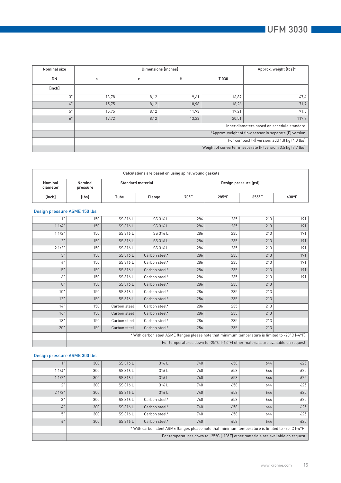| Nominal size | Dimensions [inches] |      |       |       | Approx. weight [lbs]*                                          |
|--------------|---------------------|------|-------|-------|----------------------------------------------------------------|
| DN           | a                   | с    | H     | T030  |                                                                |
| [inch]       |                     |      |       |       |                                                                |
| 3"           | 13,78               | 8,12 | 9,61  | 16,89 | 47,4                                                           |
| 4"           | 15,75               | 8,12 | 10,98 | 18,26 | 71,7                                                           |
| 5"           | 15,75               | 8,12 | 11,93 | 19,21 | 91,5                                                           |
| 6"           | 17,72               | 8,12 | 13,23 | 20,51 | 117,9                                                          |
|              |                     |      |       |       | Inner diameters based on schedule standard.                    |
|              |                     |      |       |       | *Approx. weight of flow sensor in separate (F) version.        |
|              |                     |      |       |       | For compact (K) version: add 1,8 kg (4,0 lbs).                 |
|              |                     |      |       |       | Weight of converter in separate (F) version: 3,5 kg (7,7 lbs). |

| Calculations are based on using spiral wound gaskets |                     |      |                   |                |                       |                 |       |  |  |
|------------------------------------------------------|---------------------|------|-------------------|----------------|-----------------------|-----------------|-------|--|--|
| Nominal<br>diameter                                  | Nominal<br>pressure |      | Standard material |                | Design pressure (psi) |                 |       |  |  |
| [inch]                                               | $[l$ bs]            | Tube | Flange            | $70^{\circ}$ F | $285^{\circ}$ F       | $355^{\circ}$ F | 430°F |  |  |

### Design pressure ASME 150 lbs

| 1"    | 150                                                                                               | SS 316 L     | SS 316 L      | 286 | 235 | 213 | 191 |
|-------|---------------------------------------------------------------------------------------------------|--------------|---------------|-----|-----|-----|-----|
| 11/4" | 150                                                                                               | SS 316 L     | SS 316 L      | 286 | 235 | 213 | 191 |
| 11/2" | 150                                                                                               | SS 316 L     | SS 316 L      | 286 | 235 | 213 | 191 |
| 2"    | 150                                                                                               | SS 316 L     | SS 316 L      | 286 | 235 | 213 | 191 |
| 21/2" | 150                                                                                               | SS 316 L     | SS 316 L      | 286 | 235 | 213 | 191 |
| 3"    | 150                                                                                               | SS 316 L     | Carbon steel* | 286 | 235 | 213 | 191 |
| $4"$  | 150                                                                                               | SS 316 L     | Carbon steel* | 286 | 235 | 213 | 191 |
| 5"    | 150                                                                                               | SS 316 L     | Carbon steel* | 286 | 235 | 213 | 191 |
| 6"    | 150                                                                                               | SS 316 L     | Carbon steel* | 286 | 235 | 213 | 191 |
| 8"    | 150                                                                                               | SS 316 L     | Carbon steel* | 286 | 235 | 213 |     |
| 10"   | 150                                                                                               | SS 316 L     | Carbon steel* | 286 | 235 | 213 |     |
| 12"   | 150                                                                                               | SS 316 L     | Carbon steel* | 286 | 235 | 213 |     |
| 14"   | 150                                                                                               | Carbon steel | Carbon steel* | 286 | 235 | 213 |     |
| 16"   | 150                                                                                               | Carbon steel | Carbon steel* | 286 | 235 | 213 |     |
| 18"   | 150                                                                                               | Carbon steel | Carbon steel* | 286 | 235 | 213 |     |
| 20"   | 150                                                                                               | Carbon steel | Carbon steel* | 286 | 235 | 213 |     |
|       | * With carbon steel ASME flanges please note that minimum temperature is limited to -20°C (-4°F). |              |               |     |     |     |     |
|       | For temperatures down to -25°C (-13°F) other materials are available on request.                  |              |               |     |     |     |     |

### Design pressure ASME 300 lbs

| 1"    | 300 <sub>1</sub>                                                                                  | SS 316 L | 316L          | 740 | 658 | 644 | 625 |
|-------|---------------------------------------------------------------------------------------------------|----------|---------------|-----|-----|-----|-----|
| 11/4" | 300                                                                                               | SS 316 L | 316L          | 740 | 658 | 644 | 625 |
| 11/2" | 300                                                                                               | SS 316 L | 316L          | 740 | 658 | 644 | 625 |
| 2"    | 300                                                                                               | SS 316 L | 316L          | 740 | 658 | 644 | 625 |
| 21/2" | 300                                                                                               | SS 316 L | 316L          | 740 | 658 | 644 | 625 |
| 3"    | 300                                                                                               | SS 316 L | Carbon steel* | 740 | 658 | 644 | 625 |
| 4"    | 300                                                                                               | SS 316 L | Carbon steel* | 740 | 658 | 644 | 625 |
| 5"    | 300                                                                                               | SS 316 L | Carbon steel* | 740 | 658 | 644 | 625 |
| 6"    | 300                                                                                               | SS 316 L | Carbon steel* | 740 | 658 | 644 | 625 |
|       | * With carbon steel ASME flanges please note that minimum temperature is limited to -20°C (-4°F). |          |               |     |     |     |     |
|       | For temperatures down to -25°C [-13°F] other materials are available on request.                  |          |               |     |     |     |     |